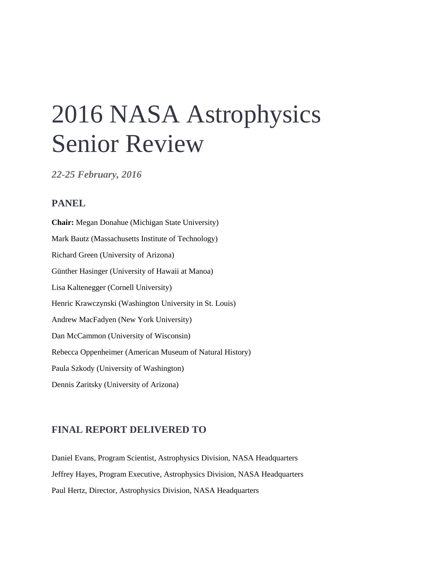# 2016 NASA Astrophysics Senior Review

*22-25 February, 2016*

#### **PANEL**

**Chair:** Megan Donahue (Michigan State University) Mark Bautz (Massachusetts Institute of Technology) Richard Green (University of Arizona) Günther Hasinger (University of Hawaii at Manoa) Lisa Kaltenegger (Cornell University) Henric Krawczynski (Washington University in St. Louis) Andrew MacFadyen (New York University) Dan McCammon (University of Wisconsin) Rebecca Oppenheimer (American Museum of Natural History) Paula Szkody (University of Washington) Dennis Zaritsky (University of Arizona)

#### **FINAL REPORT DELIVERED TO**

Daniel Evans, Program Scientist, Astrophysics Division, NASA Headquarters Jeffrey Hayes, Program Executive, Astrophysics Division, NASA Headquarters Paul Hertz, Director, Astrophysics Division, NASA Headquarters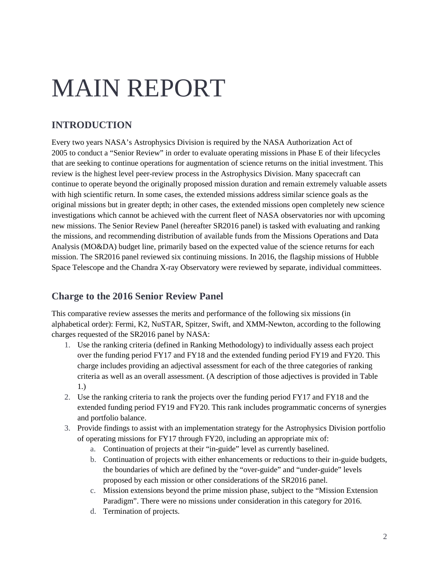# MAIN REPORT

# **INTRODUCTION**

Every two years NASA's Astrophysics Division is required by the NASA Authorization Act of 2005 to conduct a "Senior Review" in order to evaluate operating missions in Phase E of their lifecycles that are seeking to continue operations for augmentation of science returns on the initial investment. This review is the highest level peer-review process in the Astrophysics Division. Many spacecraft can continue to operate beyond the originally proposed mission duration and remain extremely valuable assets with high scientific return. In some cases, the extended missions address similar science goals as the original missions but in greater depth; in other cases, the extended missions open completely new science investigations which cannot be achieved with the current fleet of NASA observatories nor with upcoming new missions. The Senior Review Panel (hereafter SR2016 panel) is tasked with evaluating and ranking the missions, and recommending distribution of available funds from the Missions Operations and Data Analysis (MO&DA) budget line, primarily based on the expected value of the science returns for each mission. The SR2016 panel reviewed six continuing missions. In 2016, the flagship missions of Hubble Space Telescope and the Chandra X-ray Observatory were reviewed by separate, individual committees.

# **Charge to the 2016 Senior Review Panel**

This comparative review assesses the merits and performance of the following six missions (in alphabetical order): Fermi, K2, NuSTAR, Spitzer, Swift, and XMM-Newton, according to the following charges requested of the SR2016 panel by NASA:

- 1. Use the ranking criteria (defined in Ranking Methodology) to individually assess each project over the funding period FY17 and FY18 and the extended funding period FY19 and FY20. This charge includes providing an adjectival assessment for each of the three categories of ranking criteria as well as an overall assessment. (A description of those adjectives is provided in Table 1.)
- 2. Use the ranking criteria to rank the projects over the funding period FY17 and FY18 and the extended funding period FY19 and FY20. This rank includes programmatic concerns of synergies and portfolio balance.
- 3. Provide findings to assist with an implementation strategy for the Astrophysics Division portfolio of operating missions for FY17 through FY20, including an appropriate mix of:
	- a. Continuation of projects at their "in-guide" level as currently baselined.
	- b. Continuation of projects with either enhancements or reductions to their in-guide budgets, the boundaries of which are defined by the "over-guide" and "under-guide" levels proposed by each mission or other considerations of the SR2016 panel.
	- c. Mission extensions beyond the prime mission phase, subject to the "Mission Extension Paradigm". There were no missions under consideration in this category for 2016.
	- d. Termination of projects.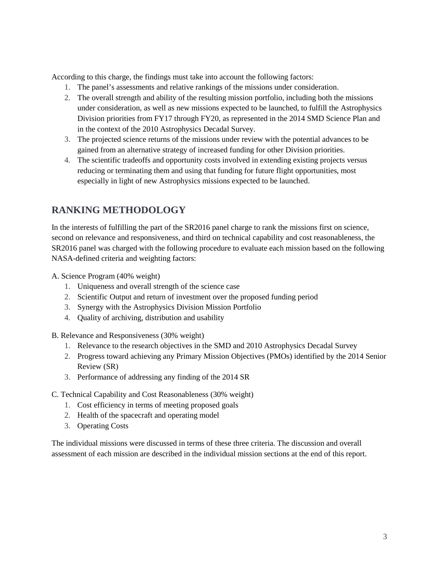According to this charge, the findings must take into account the following factors:

- 1. The panel's assessments and relative rankings of the missions under consideration.
- 2. The overall strength and ability of the resulting mission portfolio, including both the missions under consideration, as well as new missions expected to be launched, to fulfill the Astrophysics Division priorities from FY17 through FY20, as represented in the 2014 SMD Science Plan and in the context of the 2010 Astrophysics Decadal Survey.
- 3. The projected science returns of the missions under review with the potential advances to be gained from an alternative strategy of increased funding for other Division priorities.
- 4. The scientific tradeoffs and opportunity costs involved in extending existing projects versus reducing or terminating them and using that funding for future flight opportunities, most especially in light of new Astrophysics missions expected to be launched.

# **RANKING METHODOLOGY**

In the interests of fulfilling the part of the SR2016 panel charge to rank the missions first on science, second on relevance and responsiveness, and third on technical capability and cost reasonableness, the SR2016 panel was charged with the following procedure to evaluate each mission based on the following NASA-defined criteria and weighting factors:

A. Science Program (40% weight)

- 1. Uniqueness and overall strength of the science case
- 2. Scientific Output and return of investment over the proposed funding period
- 3. Synergy with the Astrophysics Division Mission Portfolio
- 4. Quality of archiving, distribution and usability

B. Relevance and Responsiveness (30% weight)

- 1. Relevance to the research objectives in the SMD and 2010 Astrophysics Decadal Survey
- 2. Progress toward achieving any Primary Mission Objectives (PMOs) identified by the 2014 Senior Review (SR)
- 3. Performance of addressing any finding of the 2014 SR
- C. Technical Capability and Cost Reasonableness (30% weight)
	- 1. Cost efficiency in terms of meeting proposed goals
	- 2. Health of the spacecraft and operating model
	- 3. Operating Costs

The individual missions were discussed in terms of these three criteria. The discussion and overall assessment of each mission are described in the individual mission sections at the end of this report.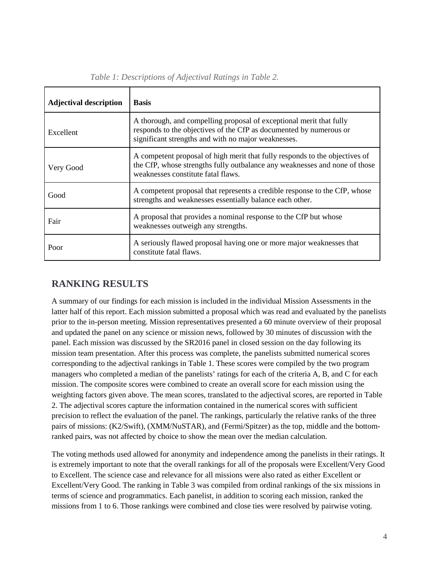| <b>Adjectival description</b> | <b>Basis</b>                                                                                                                                                                                     |  |
|-------------------------------|--------------------------------------------------------------------------------------------------------------------------------------------------------------------------------------------------|--|
| Excellent                     | A thorough, and compelling proposal of exceptional merit that fully<br>responds to the objectives of the CfP as documented by numerous or<br>significant strengths and with no major weaknesses. |  |
| Very Good                     | A competent proposal of high merit that fully responds to the objectives of<br>the CfP, whose strengths fully outbalance any weaknesses and none of those<br>weaknesses constitute fatal flaws.  |  |
| Good                          | A competent proposal that represents a credible response to the CfP, whose<br>strengths and weaknesses essentially balance each other.                                                           |  |
| Fair                          | A proposal that provides a nominal response to the CfP but whose<br>weaknesses outweigh any strengths.                                                                                           |  |
| Poor                          | A seriously flawed proposal having one or more major weaknesses that<br>constitute fatal flaws.                                                                                                  |  |

*Table 1: Descriptions of Adjectival Ratings in Table 2.* 

### **RANKING RESULTS**

A summary of our findings for each mission is included in the individual Mission Assessments in the latter half of this report. Each mission submitted a proposal which was read and evaluated by the panelists prior to the in-person meeting. Mission representatives presented a 60 minute overview of their proposal and updated the panel on any science or mission news, followed by 30 minutes of discussion with the panel. Each mission was discussed by the SR2016 panel in closed session on the day following its mission team presentation. After this process was complete, the panelists submitted numerical scores corresponding to the adjectival rankings in Table 1. These scores were compiled by the two program managers who completed a median of the panelists' ratings for each of the criteria A, B, and C for each mission. The composite scores were combined to create an overall score for each mission using the weighting factors given above. The mean scores, translated to the adjectival scores, are reported in Table 2. The adjectival scores capture the information contained in the numerical scores with sufficient precision to reflect the evaluation of the panel. The rankings, particularly the relative ranks of the three pairs of missions: (K2/Swift), (XMM/NuSTAR), and (Fermi/Spitzer) as the top, middle and the bottomranked pairs, was not affected by choice to show the mean over the median calculation.

The voting methods used allowed for anonymity and independence among the panelists in their ratings. It is extremely important to note that the overall rankings for all of the proposals were Excellent/Very Good to Excellent. The science case and relevance for all missions were also rated as either Excellent or Excellent/Very Good. The ranking in Table 3 was compiled from ordinal rankings of the six missions in terms of science and programmatics. Each panelist, in addition to scoring each mission, ranked the missions from 1 to 6. Those rankings were combined and close ties were resolved by pairwise voting.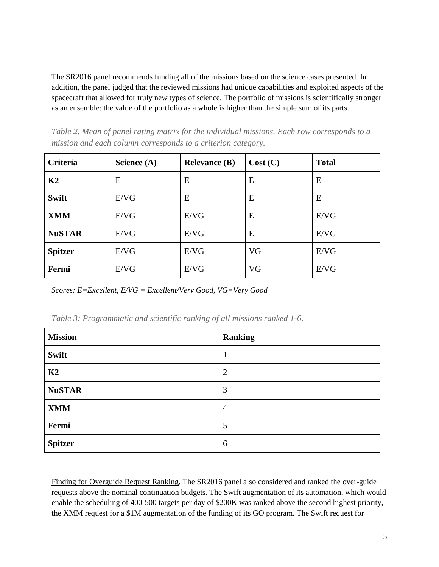The SR2016 panel recommends funding all of the missions based on the science cases presented. In addition, the panel judged that the reviewed missions had unique capabilities and exploited aspects of the spacecraft that allowed for truly new types of science. The portfolio of missions is scientifically stronger as an ensemble: the value of the portfolio as a whole is higher than the simple sum of its parts.

*Table 2. Mean of panel rating matrix for the individual missions. Each row corresponds to a mission and each column corresponds to a criterion category.* 

| Criteria       | Science $(A)$ | <b>Relevance (B)</b> | Cost (C) | <b>Total</b> |
|----------------|---------------|----------------------|----------|--------------|
| K2             | E             | E                    | E        | E            |
| <b>Swift</b>   | E/VG          | E                    | E        | E            |
| <b>XMM</b>     | E/VG          | E/VG                 | E        | E/VG         |
| <b>NuSTAR</b>  | E/VG          | E/VG                 | E        | E/VG         |
| <b>Spitzer</b> | E/VG          | E/VG                 | VG       | E/VG         |
| Fermi          | E/VG          | E/VG                 | VG       | E/VG         |

*Scores: E=Excellent, E/VG = Excellent/Very Good, VG=Very Good*

| <b>Mission</b> | <b>Ranking</b> |
|----------------|----------------|
| <b>Swift</b>   | 1              |
| K2             | $\overline{2}$ |
| <b>NuSTAR</b>  | 3              |
| <b>XMM</b>     | $\overline{4}$ |
| Fermi          | 5              |
| <b>Spitzer</b> | 6              |

*Table 3: Programmatic and scientific ranking of all missions ranked 1-6.* 

Finding for Overguide Request Ranking. The SR2016 panel also considered and ranked the over-guide requests above the nominal continuation budgets. The Swift augmentation of its automation, which would enable the scheduling of 400-500 targets per day of \$200K was ranked above the second highest priority, the XMM request for a \$1M augmentation of the funding of its GO program. The Swift request for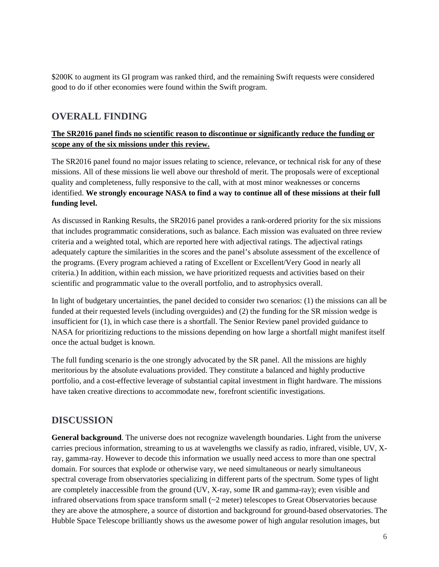\$200K to augment its GI program was ranked third, and the remaining Swift requests were considered good to do if other economies were found within the Swift program.

# **OVERALL FINDING**

#### **The SR2016 panel finds no scientific reason to discontinue or significantly reduce the funding or scope any of the six missions under this review.**

The SR2016 panel found no major issues relating to science, relevance, or technical risk for any of these missions. All of these missions lie well above our threshold of merit. The proposals were of exceptional quality and completeness, fully responsive to the call, with at most minor weaknesses or concerns identified. **We strongly encourage NASA to find a way to continue all of these missions at their full funding level.**

As discussed in Ranking Results, the SR2016 panel provides a rank-ordered priority for the six missions that includes programmatic considerations, such as balance. Each mission was evaluated on three review criteria and a weighted total, which are reported here with adjectival ratings. The adjectival ratings adequately capture the similarities in the scores and the panel's absolute assessment of the excellence of the programs. (Every program achieved a rating of Excellent or Excellent/Very Good in nearly all criteria.) In addition, within each mission, we have prioritized requests and activities based on their scientific and programmatic value to the overall portfolio, and to astrophysics overall.

In light of budgetary uncertainties, the panel decided to consider two scenarios: (1) the missions can all be funded at their requested levels (including overguides) and (2) the funding for the SR mission wedge is insufficient for (1), in which case there is a shortfall. The Senior Review panel provided guidance to NASA for prioritizing reductions to the missions depending on how large a shortfall might manifest itself once the actual budget is known.

The full funding scenario is the one strongly advocated by the SR panel. All the missions are highly meritorious by the absolute evaluations provided. They constitute a balanced and highly productive portfolio, and a cost-effective leverage of substantial capital investment in flight hardware. The missions have taken creative directions to accommodate new, forefront scientific investigations.

# **DISCUSSION**

**General background**. The universe does not recognize wavelength boundaries. Light from the universe carries precious information, streaming to us at wavelengths we classify as radio, infrared, visible, UV, Xray, gamma-ray. However to decode this information we usually need access to more than one spectral domain. For sources that explode or otherwise vary, we need simultaneous or nearly simultaneous spectral coverage from observatories specializing in different parts of the spectrum. Some types of light are completely inaccessible from the ground (UV, X-ray, some IR and gamma-ray); even visible and infrared observations from space transform small (~2 meter) telescopes to Great Observatories because they are above the atmosphere, a source of distortion and background for ground-based observatories. The Hubble Space Telescope brilliantly shows us the awesome power of high angular resolution images, but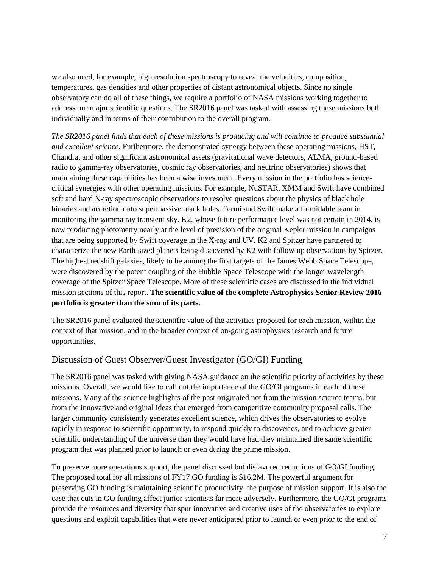we also need, for example, high resolution spectroscopy to reveal the velocities, composition, temperatures, gas densities and other properties of distant astronomical objects. Since no single observatory can do all of these things, we require a portfolio of NASA missions working together to address our major scientific questions. The SR2016 panel was tasked with assessing these missions both individually and in terms of their contribution to the overall program.

*The SR2016 panel finds that each of these missions is producing and will continue to produce substantial and excellent science.* Furthermore, the demonstrated synergy between these operating missions, HST, Chandra, and other significant astronomical assets (gravitational wave detectors, ALMA, ground-based radio to gamma-ray observatories, cosmic ray observatories, and neutrino observatories) shows that maintaining these capabilities has been a wise investment. Every mission in the portfolio has sciencecritical synergies with other operating missions. For example, NuSTAR, XMM and Swift have combined soft and hard X-ray spectroscopic observations to resolve questions about the physics of black hole binaries and accretion onto supermassive black holes. Fermi and Swift make a formidable team in monitoring the gamma ray transient sky. K2, whose future performance level was not certain in 2014, is now producing photometry nearly at the level of precision of the original Kepler mission in campaigns that are being supported by Swift coverage in the X-ray and UV. K2 and Spitzer have partnered to characterize the new Earth-sized planets being discovered by K2 with follow-up observations by Spitzer. The highest redshift galaxies, likely to be among the first targets of the James Webb Space Telescope, were discovered by the potent coupling of the Hubble Space Telescope with the longer wavelength coverage of the Spitzer Space Telescope. More of these scientific cases are discussed in the individual mission sections of this report. **The scientific value of the complete Astrophysics Senior Review 2016 portfolio is greater than the sum of its parts.**

The SR2016 panel evaluated the scientific value of the activities proposed for each mission, within the context of that mission, and in the broader context of on-going astrophysics research and future opportunities.

#### Discussion of Guest Observer/Guest Investigator (GO/GI) Funding

The SR2016 panel was tasked with giving NASA guidance on the scientific priority of activities by these missions. Overall, we would like to call out the importance of the GO/GI programs in each of these missions. Many of the science highlights of the past originated not from the mission science teams, but from the innovative and original ideas that emerged from competitive community proposal calls. The larger community consistently generates excellent science, which drives the observatories to evolve rapidly in response to scientific opportunity, to respond quickly to discoveries, and to achieve greater scientific understanding of the universe than they would have had they maintained the same scientific program that was planned prior to launch or even during the prime mission.

To preserve more operations support, the panel discussed but disfavored reductions of GO/GI funding. The proposed total for all missions of FY17 GO funding is \$16.2M. The powerful argument for preserving GO funding is maintaining scientific productivity, the purpose of mission support. It is also the case that cuts in GO funding affect junior scientists far more adversely. Furthermore, the GO/GI programs provide the resources and diversity that spur innovative and creative uses of the observatories to explore questions and exploit capabilities that were never anticipated prior to launch or even prior to the end of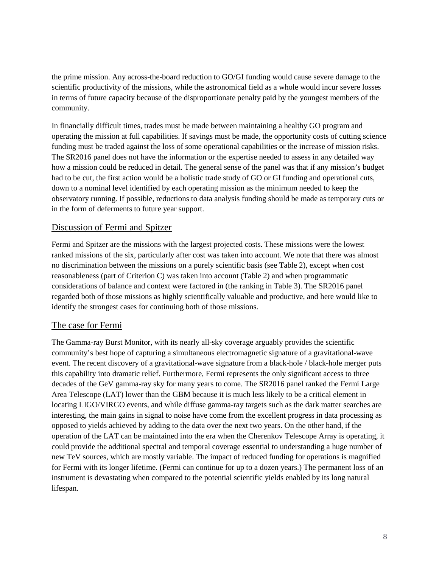the prime mission. Any across-the-board reduction to GO/GI funding would cause severe damage to the scientific productivity of the missions, while the astronomical field as a whole would incur severe losses in terms of future capacity because of the disproportionate penalty paid by the youngest members of the community.

In financially difficult times, trades must be made between maintaining a healthy GO program and operating the mission at full capabilities. If savings must be made, the opportunity costs of cutting science funding must be traded against the loss of some operational capabilities or the increase of mission risks. The SR2016 panel does not have the information or the expertise needed to assess in any detailed way how a mission could be reduced in detail. The general sense of the panel was that if any mission's budget had to be cut, the first action would be a holistic trade study of GO or GI funding and operational cuts, down to a nominal level identified by each operating mission as the minimum needed to keep the observatory running. If possible, reductions to data analysis funding should be made as temporary cuts or in the form of deferments to future year support.

#### Discussion of Fermi and Spitzer

Fermi and Spitzer are the missions with the largest projected costs. These missions were the lowest ranked missions of the six, particularly after cost was taken into account. We note that there was almost no discrimination between the missions on a purely scientific basis (see Table 2), except when cost reasonableness (part of Criterion C) was taken into account (Table 2) and when programmatic considerations of balance and context were factored in (the ranking in Table 3). The SR2016 panel regarded both of those missions as highly scientifically valuable and productive, and here would like to identify the strongest cases for continuing both of those missions.

#### The case for Fermi

The Gamma-ray Burst Monitor, with its nearly all-sky coverage arguably provides the scientific community's best hope of capturing a simultaneous electromagnetic signature of a gravitational-wave event. The recent discovery of a gravitational-wave signature from a black-hole / black-hole merger puts this capability into dramatic relief. Furthermore, Fermi represents the only significant access to three decades of the GeV gamma-ray sky for many years to come. The SR2016 panel ranked the Fermi Large Area Telescope (LAT) lower than the GBM because it is much less likely to be a critical element in locating LIGO/VIRGO events, and while diffuse gamma-ray targets such as the dark matter searches are interesting, the main gains in signal to noise have come from the excellent progress in data processing as opposed to yields achieved by adding to the data over the next two years. On the other hand, if the operation of the LAT can be maintained into the era when the Cherenkov Telescope Array is operating, it could provide the additional spectral and temporal coverage essential to understanding a huge number of new TeV sources, which are mostly variable. The impact of reduced funding for operations is magnified for Fermi with its longer lifetime. (Fermi can continue for up to a dozen years.) The permanent loss of an instrument is devastating when compared to the potential scientific yields enabled by its long natural lifespan.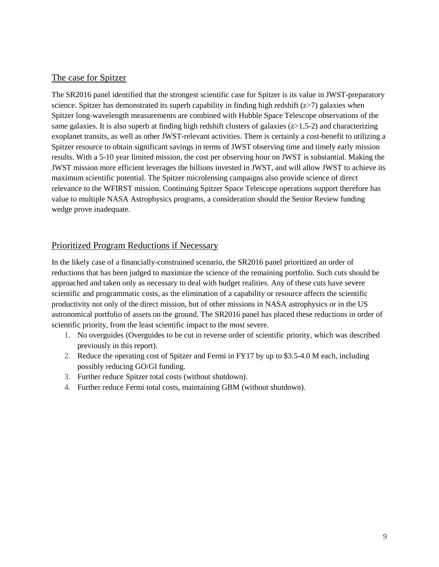#### The case for Spitzer

The SR2016 panel identified that the strongest scientific case for Spitzer is its value in JWST-preparatory science. Spitzer has demonstrated its superb capability in finding high redshift  $(z>7)$  galaxies when Spitzer long-wavelength measurements are combined with Hubble Space Telescope observations of the same galaxies. It is also superb at finding high redshift clusters of galaxies ( $z>1.5-2$ ) and characterizing exoplanet transits, as well as other JWST-relevant activities. There is certainly a cost-benefit to utilizing a Spitzer resource to obtain significant savings in terms of JWST observing time and timely early mission results. With a 5-10 year limited mission, the cost per observing hour on JWST is substantial. Making the JWST mission more efficient leverages the billions invested in JWST, and will allow JWST to achieve its maximum scientific potential. The Spitzer microlensing campaigns also provide science of direct relevance to the WFIRST mission. Continuing Spitzer Space Telescope operations support therefore has value to multiple NASA Astrophysics programs, a consideration should the Senior Review funding wedge prove inadequate.

#### Prioritized Program Reductions if Necessary

In the likely case of a financially-constrained scenario, the SR2016 panel prioritized an order of reductions that has been judged to maximize the science of the remaining portfolio. Such cuts should be approached and taken only as necessary to deal with budget realities. Any of these cuts have severe scientific and programmatic costs, as the elimination of a capability or resource affects the scientific productivity not only of the direct mission, but of other missions in NASA astrophysics or in the US astronomical portfolio of assets on the ground. The SR2016 panel has placed these reductions in order of scientific priority, from the least scientific impact to the most severe.

- 1. No overguides (Overguides to be cut in reverse order of scientific priority, which was described previously in this report).
- 2. Reduce the operating cost of Spitzer and Fermi in FY17 by up to \$3.5-4.0 M each, including possibly reducing GO/GI funding.
- 3. Further reduce Spitzer total costs (without shutdown).
- 4. Further reduce Fermi total costs, maintaining GBM (without shutdown).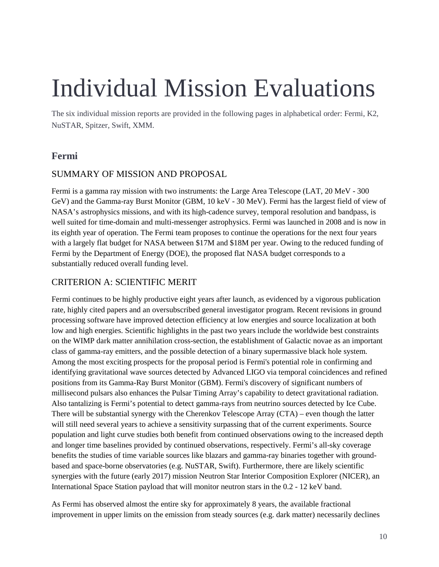# Individual Mission Evaluations

The six individual mission reports are provided in the following pages in alphabetical order: Fermi, K2, NuSTAR, Spitzer, Swift, XMM.

#### **Fermi**

#### SUMMARY OF MISSION AND PROPOSAL

Fermi is a gamma ray mission with two instruments: the Large Area Telescope (LAT, 20 MeV - 300 GeV) and the Gamma-ray Burst Monitor (GBM, 10 keV - 30 MeV). Fermi has the largest field of view of NASA's astrophysics missions, and with its high-cadence survey, temporal resolution and bandpass, is well suited for time-domain and multi-messenger astrophysics. Fermi was launched in 2008 and is now in its eighth year of operation. The Fermi team proposes to continue the operations for the next four years with a largely flat budget for NASA between \$17M and \$18M per year. Owing to the reduced funding of Fermi by the Department of Energy (DOE), the proposed flat NASA budget corresponds to a substantially reduced overall funding level.

#### CRITERION A: SCIENTIFIC MERIT

Fermi continues to be highly productive eight years after launch, as evidenced by a vigorous publication rate, highly cited papers and an oversubscribed general investigator program. Recent revisions in ground processing software have improved detection efficiency at low energies and source localization at both low and high energies. Scientific highlights in the past two years include the worldwide best constraints on the WIMP dark matter annihilation cross-section, the establishment of Galactic novae as an important class of gamma-ray emitters, and the possible detection of a binary supermassive black hole system. Among the most exciting prospects for the proposal period is Fermi's potential role in confirming and identifying gravitational wave sources detected by Advanced LIGO via temporal coincidences and refined positions from its Gamma-Ray Burst Monitor (GBM). Fermi's discovery of significant numbers of millisecond pulsars also enhances the Pulsar Timing Array's capability to detect gravitational radiation. Also tantalizing is Fermi's potential to detect gamma-rays from neutrino sources detected by Ice Cube. There will be substantial synergy with the Cherenkov Telescope Array (CTA) – even though the latter will still need several years to achieve a sensitivity surpassing that of the current experiments. Source population and light curve studies both benefit from continued observations owing to the increased depth and longer time baselines provided by continued observations, respectively. Fermi's all-sky coverage benefits the studies of time variable sources like blazars and gamma-ray binaries together with groundbased and space-borne observatories (e.g. NuSTAR, Swift). Furthermore, there are likely scientific synergies with the future (early 2017) mission Neutron Star Interior Composition Explorer (NICER), an International Space Station payload that will monitor neutron stars in the 0.2 - 12 keV band.

As Fermi has observed almost the entire sky for approximately 8 years, the available fractional improvement in upper limits on the emission from steady sources (e.g. dark matter) necessarily declines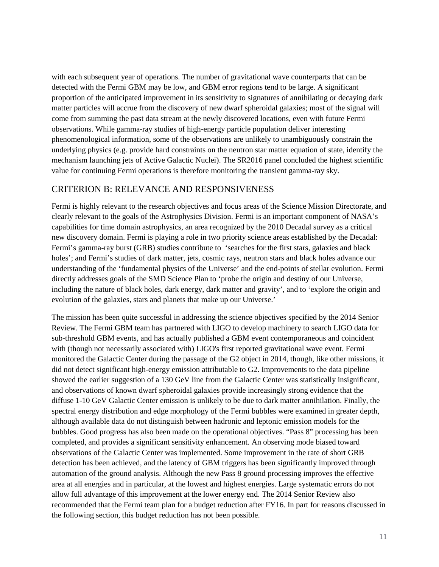with each subsequent year of operations. The number of gravitational wave counterparts that can be detected with the Fermi GBM may be low, and GBM error regions tend to be large. A significant proportion of the anticipated improvement in its sensitivity to signatures of annihilating or decaying dark matter particles will accrue from the discovery of new dwarf spheroidal galaxies; most of the signal will come from summing the past data stream at the newly discovered locations, even with future Fermi observations. While gamma-ray studies of high-energy particle population deliver interesting phenomenological information, some of the observations are unlikely to unambiguously constrain the underlying physics (e.g. provide hard constraints on the neutron star matter equation of state, identify the mechanism launching jets of Active Galactic Nuclei). The SR2016 panel concluded the highest scientific value for continuing Fermi operations is therefore monitoring the transient gamma-ray sky.

#### CRITERION B: RELEVANCE AND RESPONSIVENESS

Fermi is highly relevant to the research objectives and focus areas of the Science Mission Directorate, and clearly relevant to the goals of the Astrophysics Division. Fermi is an important component of NASA's capabilities for time domain astrophysics, an area recognized by the 2010 Decadal survey as a critical new discovery domain. Fermi is playing a role in two priority science areas established by the Decadal: Fermi's gamma-ray burst (GRB) studies contribute to 'searches for the first stars, galaxies and black holes'; and Fermi's studies of dark matter, jets, cosmic rays, neutron stars and black holes advance our understanding of the 'fundamental physics of the Universe' and the end-points of stellar evolution. Fermi directly addresses goals of the SMD Science Plan to 'probe the origin and destiny of our Universe, including the nature of black holes, dark energy, dark matter and gravity', and to 'explore the origin and evolution of the galaxies, stars and planets that make up our Universe.'

The mission has been quite successful in addressing the science objectives specified by the 2014 Senior Review. The Fermi GBM team has partnered with LIGO to develop machinery to search LIGO data for sub-threshold GBM events, and has actually published a GBM event contemporaneous and coincident with (though not necessarily associated with) LIGO's first reported gravitational wave event. Fermi monitored the Galactic Center during the passage of the G2 object in 2014, though, like other missions, it did not detect significant high-energy emission attributable to G2. Improvements to the data pipeline showed the earlier suggestion of a 130 GeV line from the Galactic Center was statistically insignificant, and observations of known dwarf spheroidal galaxies provide increasingly strong evidence that the diffuse 1-10 GeV Galactic Center emission is unlikely to be due to dark matter annihilation. Finally, the spectral energy distribution and edge morphology of the Fermi bubbles were examined in greater depth, although available data do not distinguish between hadronic and leptonic emission models for the bubbles. Good progress has also been made on the operational objectives. "Pass 8" processing has been completed, and provides a significant sensitivity enhancement. An observing mode biased toward observations of the Galactic Center was implemented. Some improvement in the rate of short GRB detection has been achieved, and the latency of GBM triggers has been significantly improved through automation of the ground analysis. Although the new Pass 8 ground processing improves the effective area at all energies and in particular, at the lowest and highest energies. Large systematic errors do not allow full advantage of this improvement at the lower energy end. The 2014 Senior Review also recommended that the Fermi team plan for a budget reduction after FY16. In part for reasons discussed in the following section, this budget reduction has not been possible.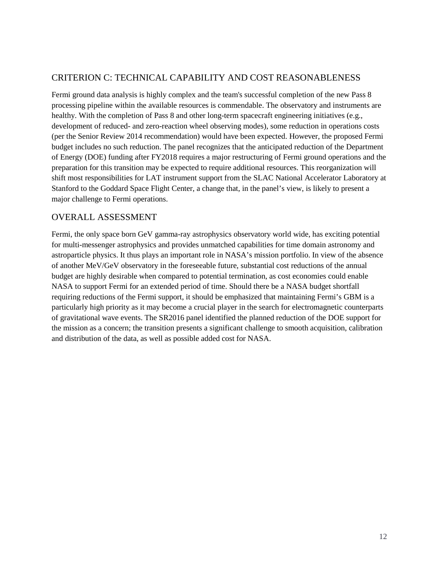#### CRITERION C: TECHNICAL CAPABILITY AND COST REASONABLENESS

Fermi ground data analysis is highly complex and the team's successful completion of the new Pass 8 processing pipeline within the available resources is commendable. The observatory and instruments are healthy. With the completion of Pass 8 and other long-term spacecraft engineering initiatives (e.g., development of reduced- and zero-reaction wheel observing modes), some reduction in operations costs (per the Senior Review 2014 recommendation) would have been expected. However, the proposed Fermi budget includes no such reduction. The panel recognizes that the anticipated reduction of the Department of Energy (DOE) funding after FY2018 requires a major restructuring of Fermi ground operations and the preparation for this transition may be expected to require additional resources. This reorganization will shift most responsibilities for LAT instrument support from the SLAC National Accelerator Laboratory at Stanford to the Goddard Space Flight Center, a change that, in the panel's view, is likely to present a major challenge to Fermi operations.

#### OVERALL ASSESSMENT

Fermi, the only space born GeV gamma-ray astrophysics observatory world wide, has exciting potential for multi-messenger astrophysics and provides unmatched capabilities for time domain astronomy and astroparticle physics. It thus plays an important role in NASA's mission portfolio. In view of the absence of another MeV/GeV observatory in the foreseeable future, substantial cost reductions of the annual budget are highly desirable when compared to potential termination, as cost economies could enable NASA to support Fermi for an extended period of time. Should there be a NASA budget shortfall requiring reductions of the Fermi support, it should be emphasized that maintaining Fermi's GBM is a particularly high priority as it may become a crucial player in the search for electromagnetic counterparts of gravitational wave events. The SR2016 panel identified the planned reduction of the DOE support for the mission as a concern; the transition presents a significant challenge to smooth acquisition, calibration and distribution of the data, as well as possible added cost for NASA.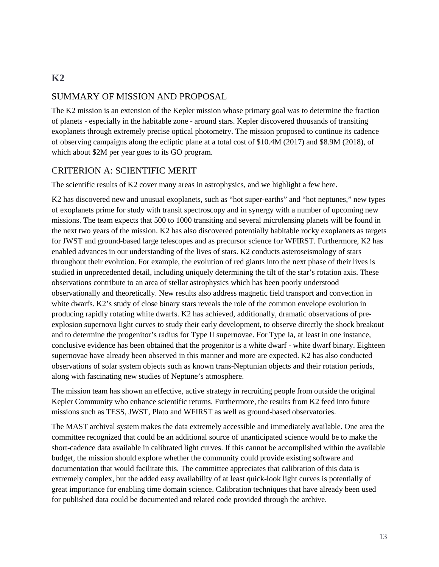# SUMMARY OF MISSION AND PROPOSAL

**K2** 

The K2 mission is an extension of the Kepler mission whose primary goal was to determine the fraction of planets - especially in the habitable zone - around stars. Kepler discovered thousands of transiting exoplanets through extremely precise optical photometry. The mission proposed to continue its cadence of observing campaigns along the ecliptic plane at a total cost of \$10.4M (2017) and \$8.9M (2018), of which about \$2M per year goes to its GO program.

#### CRITERION A: SCIENTIFIC MERIT

The scientific results of K2 cover many areas in astrophysics, and we highlight a few here.

K2 has discovered new and unusual exoplanets, such as "hot super-earths" and "hot neptunes," new types of exoplanets prime for study with transit spectroscopy and in synergy with a number of upcoming new missions. The team expects that 500 to 1000 transiting and several microlensing planets will be found in the next two years of the mission. K2 has also discovered potentially habitable rocky exoplanets as targets for JWST and ground-based large telescopes and as precursor science for WFIRST. Furthermore, K2 has enabled advances in our understanding of the lives of stars. K2 conducts asteroseismology of stars throughout their evolution. For example, the evolution of red giants into the next phase of their lives is studied in unprecedented detail, including uniquely determining the tilt of the star's rotation axis. These observations contribute to an area of stellar astrophysics which has been poorly understood observationally and theoretically. New results also address magnetic field transport and convection in white dwarfs. K2's study of close binary stars reveals the role of the common envelope evolution in producing rapidly rotating white dwarfs. K2 has achieved, additionally, dramatic observations of preexplosion supernova light curves to study their early development, to observe directly the shock breakout and to determine the progenitor's radius for Type II supernovae. For Type Ia, at least in one instance, conclusive evidence has been obtained that the progenitor is a white dwarf - white dwarf binary. Eighteen supernovae have already been observed in this manner and more are expected. K2 has also conducted observations of solar system objects such as known trans-Neptunian objects and their rotation periods, along with fascinating new studies of Neptune's atmosphere.

The mission team has shown an effective, active strategy in recruiting people from outside the original Kepler Community who enhance scientific returns. Furthermore, the results from K2 feed into future missions such as TESS, JWST, Plato and WFIRST as well as ground-based observatories.

The MAST archival system makes the data extremely accessible and immediately available. One area the committee recognized that could be an additional source of unanticipated science would be to make the short-cadence data available in calibrated light curves. If this cannot be accomplished within the available budget, the mission should explore whether the community could provide existing software and documentation that would facilitate this. The committee appreciates that calibration of this data is extremely complex, but the added easy availability of at least quick-look light curves is potentially of great importance for enabling time domain science. Calibration techniques that have already been used for published data could be documented and related code provided through the archive.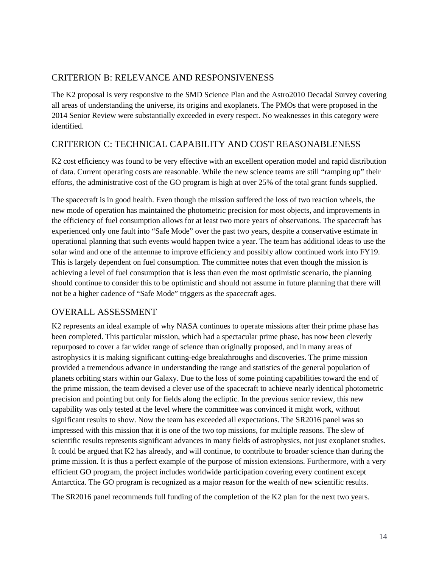#### CRITERION B: RELEVANCE AND RESPONSIVENESS

The K2 proposal is very responsive to the SMD Science Plan and the Astro2010 Decadal Survey covering all areas of understanding the universe, its origins and exoplanets. The PMOs that were proposed in the 2014 Senior Review were substantially exceeded in every respect. No weaknesses in this category were identified.

#### CRITERION C: TECHNICAL CAPABILITY AND COST REASONABLENESS

K2 cost efficiency was found to be very effective with an excellent operation model and rapid distribution of data. Current operating costs are reasonable. While the new science teams are still "ramping up" their efforts, the administrative cost of the GO program is high at over 25% of the total grant funds supplied.

The spacecraft is in good health. Even though the mission suffered the loss of two reaction wheels, the new mode of operation has maintained the photometric precision for most objects, and improvements in the efficiency of fuel consumption allows for at least two more years of observations. The spacecraft has experienced only one fault into "Safe Mode" over the past two years, despite a conservative estimate in operational planning that such events would happen twice a year. The team has additional ideas to use the solar wind and one of the antennae to improve efficiency and possibly allow continued work into FY19. This is largely dependent on fuel consumption. The committee notes that even though the mission is achieving a level of fuel consumption that is less than even the most optimistic scenario, the planning should continue to consider this to be optimistic and should not assume in future planning that there will not be a higher cadence of "Safe Mode" triggers as the spacecraft ages.

#### OVERALL ASSESSMENT

K2 represents an ideal example of why NASA continues to operate missions after their prime phase has been completed. This particular mission, which had a spectacular prime phase, has now been cleverly repurposed to cover a far wider range of science than originally proposed, and in many areas of astrophysics it is making significant cutting-edge breakthroughs and discoveries. The prime mission provided a tremendous advance in understanding the range and statistics of the general population of planets orbiting stars within our Galaxy. Due to the loss of some pointing capabilities toward the end of the prime mission, the team devised a clever use of the spacecraft to achieve nearly identical photometric precision and pointing but only for fields along the ecliptic. In the previous senior review, this new capability was only tested at the level where the committee was convinced it might work, without significant results to show. Now the team has exceeded all expectations. The SR2016 panel was so impressed with this mission that it is one of the two top missions, for multiple reasons. The slew of scientific results represents significant advances in many fields of astrophysics, not just exoplanet studies. It could be argued that K2 has already, and will continue, to contribute to broader science than during the prime mission. It is thus a perfect example of the purpose of mission extensions. Furthermore, with a very efficient GO program, the project includes worldwide participation covering every continent except Antarctica. The GO program is recognized as a major reason for the wealth of new scientific results.

The SR2016 panel recommends full funding of the completion of the K2 plan for the next two years.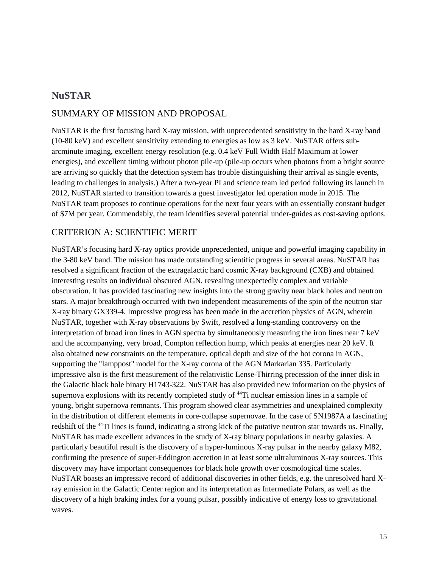#### **NuSTAR**

#### SUMMARY OF MISSION AND PROPOSAL

NuSTAR is the first focusing hard X-ray mission, with unprecedented sensitivity in the hard X-ray band (10-80 keV) and excellent sensitivity extending to energies as low as 3 keV. NuSTAR offers subarcminute imaging, excellent energy resolution (e.g. 0.4 keV Full Width Half Maximum at lower energies), and excellent timing without photon pile-up (pile-up occurs when photons from a bright source are arriving so quickly that the detection system has trouble distinguishing their arrival as single events, leading to challenges in analysis.) After a two-year PI and science team led period following its launch in 2012, NuSTAR started to transition towards a guest investigator led operation mode in 2015. The NuSTAR team proposes to continue operations for the next four years with an essentially constant budget of \$7M per year. Commendably, the team identifies several potential under-guides as cost-saving options.

#### CRITERION A: SCIENTIFIC MERIT

NuSTAR's focusing hard X-ray optics provide unprecedented, unique and powerful imaging capability in the 3-80 keV band. The mission has made outstanding scientific progress in several areas. NuSTAR has resolved a significant fraction of the extragalactic hard cosmic X-ray background (CXB) and obtained interesting results on individual obscured AGN, revealing unexpectedly complex and variable obscuration. It has provided fascinating new insights into the strong gravity near black holes and neutron stars. A major breakthrough occurred with two independent measurements of the spin of the neutron star X-ray binary GX339-4. Impressive progress has been made in the accretion physics of AGN, wherein NuSTAR, together with X-ray observations by Swift, resolved a long-standing controversy on the interpretation of broad iron lines in AGN spectra by simultaneously measuring the iron lines near 7 keV and the accompanying, very broad, Compton reflection hump, which peaks at energies near 20 keV. It also obtained new constraints on the temperature, optical depth and size of the hot corona in AGN, supporting the "lamppost" model for the X-ray corona of the AGN Markarian 335. Particularly impressive also is the first measurement of the relativistic Lense-Thirring precession of the inner disk in the Galactic black hole binary H1743-322. NuSTAR has also provided new information on the physics of supernova explosions with its recently completed study of <sup>44</sup>Ti nuclear emission lines in a sample of young, bright supernova remnants. This program showed clear asymmetries and unexplained complexity in the distribution of different elements in core-collapse supernovae. In the case of SN1987A a fascinating redshift of the 44Ti lines is found, indicating a strong kick of the putative neutron star towards us. Finally, NuSTAR has made excellent advances in the study of X-ray binary populations in nearby galaxies. A particularly beautiful result is the discovery of a hyper-luminous X-ray pulsar in the nearby galaxy M82, confirming the presence of super-Eddington accretion in at least some ultraluminous X-ray sources. This discovery may have important consequences for black hole growth over cosmological time scales. NuSTAR boasts an impressive record of additional discoveries in other fields, e.g. the unresolved hard Xray emission in the Galactic Center region and its interpretation as Intermediate Polars, as well as the discovery of a high braking index for a young pulsar, possibly indicative of energy loss to gravitational waves.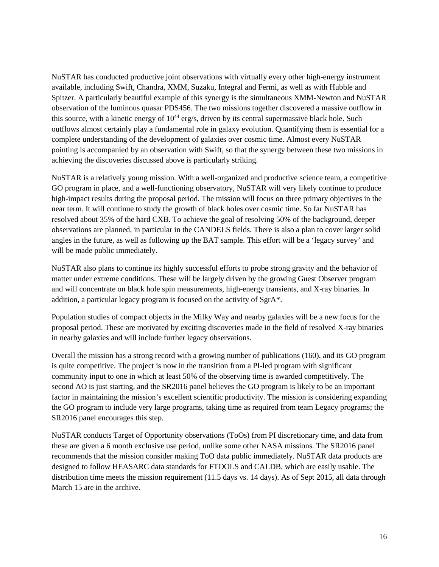NuSTAR has conducted productive joint observations with virtually every other high-energy instrument available, including Swift, Chandra, XMM, Suzaku, Integral and Fermi, as well as with Hubble and Spitzer. A particularly beautiful example of this synergy is the simultaneous XMM-Newton and NuSTAR observation of the luminous quasar PDS456. The two missions together discovered a massive outflow in this source, with a kinetic energy of  $10^{44}$  erg/s, driven by its central supermassive black hole. Such outflows almost certainly play a fundamental role in galaxy evolution. Quantifying them is essential for a complete understanding of the development of galaxies over cosmic time. Almost every NuSTAR pointing is accompanied by an observation with Swift, so that the synergy between these two missions in achieving the discoveries discussed above is particularly striking.

NuSTAR is a relatively young mission. With a well-organized and productive science team, a competitive GO program in place, and a well-functioning observatory, NuSTAR will very likely continue to produce high-impact results during the proposal period. The mission will focus on three primary objectives in the near term. It will continue to study the growth of black holes over cosmic time. So far NuSTAR has resolved about 35% of the hard CXB. To achieve the goal of resolving 50% of the background, deeper observations are planned, in particular in the CANDELS fields. There is also a plan to cover larger solid angles in the future, as well as following up the BAT sample. This effort will be a 'legacy survey' and will be made public immediately.

NuSTAR also plans to continue its highly successful efforts to probe strong gravity and the behavior of matter under extreme conditions. These will be largely driven by the growing Guest Observer program and will concentrate on black hole spin measurements, high-energy transients, and X-ray binaries. In addition, a particular legacy program is focused on the activity of SgrA\*.

Population studies of compact objects in the Milky Way and nearby galaxies will be a new focus for the proposal period. These are motivated by exciting discoveries made in the field of resolved X-ray binaries in nearby galaxies and will include further legacy observations.

Overall the mission has a strong record with a growing number of publications (160), and its GO program is quite competitive. The project is now in the transition from a PI-led program with significant community input to one in which at least 50% of the observing time is awarded competitively. The second AO is just starting, and the SR2016 panel believes the GO program is likely to be an important factor in maintaining the mission's excellent scientific productivity. The mission is considering expanding the GO program to include very large programs, taking time as required from team Legacy programs; the SR2016 panel encourages this step.

NuSTAR conducts Target of Opportunity observations (ToOs) from PI discretionary time, and data from these are given a 6 month exclusive use period, unlike some other NASA missions. The SR2016 panel recommends that the mission consider making ToO data public immediately. NuSTAR data products are designed to follow HEASARC data standards for FTOOLS and CALDB, which are easily usable. The distribution time meets the mission requirement (11.5 days vs. 14 days). As of Sept 2015, all data through March 15 are in the archive.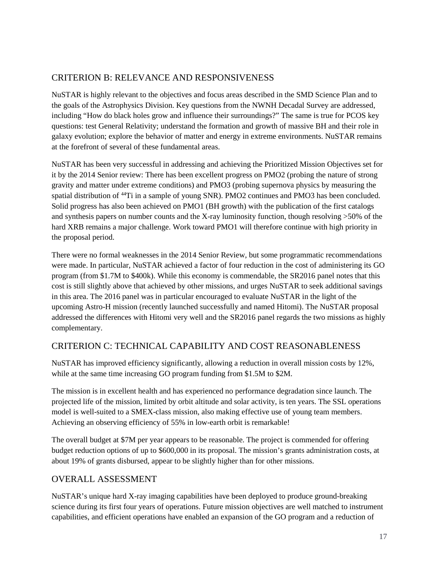### CRITERION B: RELEVANCE AND RESPONSIVENESS

NuSTAR is highly relevant to the objectives and focus areas described in the SMD Science Plan and to the goals of the Astrophysics Division. Key questions from the NWNH Decadal Survey are addressed, including "How do black holes grow and influence their surroundings?" The same is true for PCOS key questions: test General Relativity; understand the formation and growth of massive BH and their role in galaxy evolution; explore the behavior of matter and energy in extreme environments. NuSTAR remains at the forefront of several of these fundamental areas.

NuSTAR has been very successful in addressing and achieving the Prioritized Mission Objectives set for it by the 2014 Senior review: There has been excellent progress on PMO2 (probing the nature of strong gravity and matter under extreme conditions) and PMO3 (probing supernova physics by measuring the spatial distribution of <sup>44</sup>Ti in a sample of young SNR). PMO2 continues and PMO3 has been concluded. Solid progress has also been achieved on PMO1 (BH growth) with the publication of the first catalogs and synthesis papers on number counts and the X-ray luminosity function, though resolving >50% of the hard XRB remains a major challenge. Work toward PMO1 will therefore continue with high priority in the proposal period.

There were no formal weaknesses in the 2014 Senior Review, but some programmatic recommendations were made. In particular, NuSTAR achieved a factor of four reduction in the cost of administering its GO program (from \$1.7M to \$400k). While this economy is commendable, the SR2016 panel notes that this cost is still slightly above that achieved by other missions, and urges NuSTAR to seek additional savings in this area. The 2016 panel was in particular encouraged to evaluate NuSTAR in the light of the upcoming Astro-H mission (recently launched successfully and named Hitomi). The NuSTAR proposal addressed the differences with Hitomi very well and the SR2016 panel regards the two missions as highly complementary.

#### CRITERION C: TECHNICAL CAPABILITY AND COST REASONABLENESS

NuSTAR has improved efficiency significantly, allowing a reduction in overall mission costs by 12%, while at the same time increasing GO program funding from \$1.5M to \$2M.

The mission is in excellent health and has experienced no performance degradation since launch. The projected life of the mission, limited by orbit altitude and solar activity, is ten years. The SSL operations model is well-suited to a SMEX-class mission, also making effective use of young team members. Achieving an observing efficiency of 55% in low-earth orbit is remarkable!

The overall budget at \$7M per year appears to be reasonable. The project is commended for offering budget reduction options of up to \$600,000 in its proposal. The mission's grants administration costs, at about 19% of grants disbursed, appear to be slightly higher than for other missions.

## OVERALL ASSESSMENT

NuSTAR's unique hard X-ray imaging capabilities have been deployed to produce ground-breaking science during its first four years of operations. Future mission objectives are well matched to instrument capabilities, and efficient operations have enabled an expansion of the GO program and a reduction of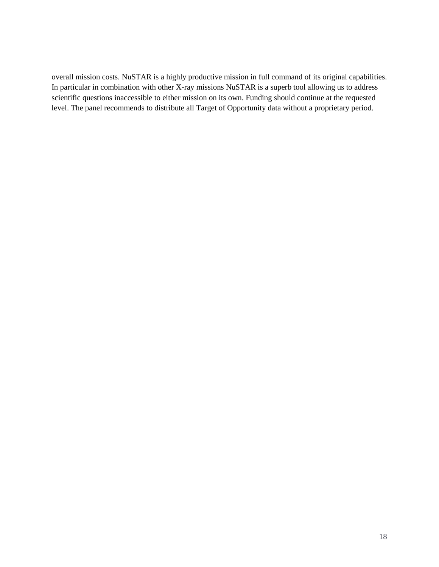overall mission costs. NuSTAR is a highly productive mission in full command of its original capabilities. In particular in combination with other X-ray missions NuSTAR is a superb tool allowing us to address scientific questions inaccessible to either mission on its own. Funding should continue at the requested level. The panel recommends to distribute all Target of Opportunity data without a proprietary period.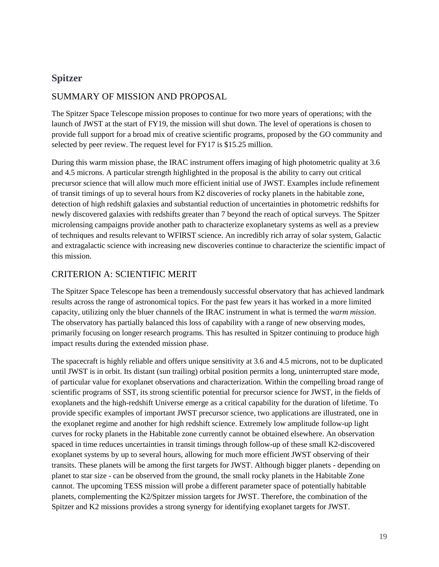#### **Spitzer**

#### SUMMARY OF MISSION AND PROPOSAL

The Spitzer Space Telescope mission proposes to continue for two more years of operations; with the launch of JWST at the start of FY19, the mission will shut down. The level of operations is chosen to provide full support for a broad mix of creative scientific programs, proposed by the GO community and selected by peer review. The request level for FY17 is \$15.25 million.

During this warm mission phase, the IRAC instrument offers imaging of high photometric quality at 3.6 and 4.5 microns. A particular strength highlighted in the proposal is the ability to carry out critical precursor science that will allow much more efficient initial use of JWST. Examples include refinement of transit timings of up to several hours from K2 discoveries of rocky planets in the habitable zone, detection of high redshift galaxies and substantial reduction of uncertainties in photometric redshifts for newly discovered galaxies with redshifts greater than 7 beyond the reach of optical surveys. The Spitzer microlensing campaigns provide another path to characterize exoplanetary systems as well as a preview of techniques and results relevant to WFIRST science. An incredibly rich array of solar system, Galactic and extragalactic science with increasing new discoveries continue to characterize the scientific impact of this mission.

#### CRITERION A: SCIENTIFIC MERIT

The Spitzer Space Telescope has been a tremendously successful observatory that has achieved landmark results across the range of astronomical topics. For the past few years it has worked in a more limited capacity, utilizing only the bluer channels of the IRAC instrument in what is termed the *warm mission*. The observatory has partially balanced this loss of capability with a range of new observing modes, primarily focusing on longer research programs. This has resulted in Spitzer continuing to produce high impact results during the extended mission phase.

The spacecraft is highly reliable and offers unique sensitivity at 3.6 and 4.5 microns, not to be duplicated until JWST is in orbit. Its distant (sun trailing) orbital position permits a long, uninterrupted stare mode, of particular value for exoplanet observations and characterization. Within the compelling broad range of scientific programs of SST, its strong scientific potential for precursor science for JWST, in the fields of exoplanets and the high-redshift Universe emerge as a critical capability for the duration of lifetime. To provide specific examples of important JWST precursor science, two applications are illustrated, one in the exoplanet regime and another for high redshift science. Extremely low amplitude follow-up light curves for rocky planets in the Habitable zone currently cannot be obtained elsewhere. An observation spaced in time reduces uncertainties in transit timings through follow-up of these small K2-discovered exoplanet systems by up to several hours, allowing for much more efficient JWST observing of their transits. These planets will be among the first targets for JWST. Although bigger planets - depending on planet to star size - can be observed from the ground, the small rocky planets in the Habitable Zone cannot. The upcoming TESS mission will probe a different parameter space of potentially habitable planets, complementing the K2/Spitzer mission targets for JWST. Therefore, the combination of the Spitzer and K2 missions provides a strong synergy for identifying exoplanet targets for JWST.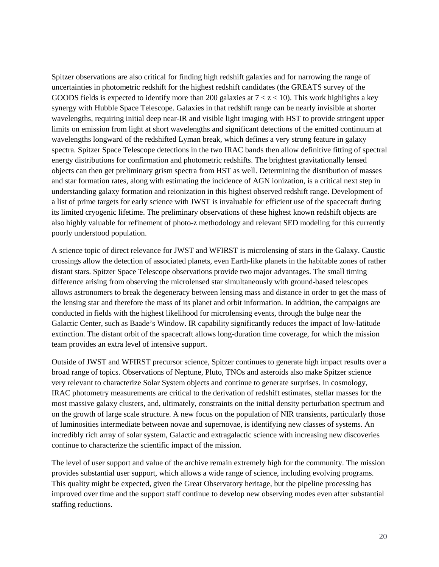Spitzer observations are also critical for finding high redshift galaxies and for narrowing the range of uncertainties in photometric redshift for the highest redshift candidates (the GREATS survey of the GOODS fields is expected to identify more than 200 galaxies at  $7 < z < 10$ ). This work highlights a key synergy with Hubble Space Telescope. Galaxies in that redshift range can be nearly invisible at shorter wavelengths, requiring initial deep near-IR and visible light imaging with HST to provide stringent upper limits on emission from light at short wavelengths and significant detections of the emitted continuum at wavelengths longward of the redshifted Lyman break, which defines a very strong feature in galaxy spectra. Spitzer Space Telescope detections in the two IRAC bands then allow definitive fitting of spectral energy distributions for confirmation and photometric redshifts. The brightest gravitationally lensed objects can then get preliminary grism spectra from HST as well. Determining the distribution of masses and star formation rates, along with estimating the incidence of AGN ionization, is a critical next step in understanding galaxy formation and reionization in this highest observed redshift range. Development of a list of prime targets for early science with JWST is invaluable for efficient use of the spacecraft during its limited cryogenic lifetime. The preliminary observations of these highest known redshift objects are also highly valuable for refinement of photo-z methodology and relevant SED modeling for this currently poorly understood population.

A science topic of direct relevance for JWST and WFIRST is microlensing of stars in the Galaxy. Caustic crossings allow the detection of associated planets, even Earth-like planets in the habitable zones of rather distant stars. Spitzer Space Telescope observations provide two major advantages. The small timing difference arising from observing the microlensed star simultaneously with ground-based telescopes allows astronomers to break the degeneracy between lensing mass and distance in order to get the mass of the lensing star and therefore the mass of its planet and orbit information. In addition, the campaigns are conducted in fields with the highest likelihood for microlensing events, through the bulge near the Galactic Center, such as Baade's Window. IR capability significantly reduces the impact of low-latitude extinction. The distant orbit of the spacecraft allows long-duration time coverage, for which the mission team provides an extra level of intensive support.

Outside of JWST and WFIRST precursor science, Spitzer continues to generate high impact results over a broad range of topics. Observations of Neptune, Pluto, TNOs and asteroids also make Spitzer science very relevant to characterize Solar System objects and continue to generate surprises. In cosmology, IRAC photometry measurements are critical to the derivation of redshift estimates, stellar masses for the most massive galaxy clusters, and, ultimately, constraints on the initial density perturbation spectrum and on the growth of large scale structure. A new focus on the population of NIR transients, particularly those of luminosities intermediate between novae and supernovae, is identifying new classes of systems. An incredibly rich array of solar system, Galactic and extragalactic science with increasing new discoveries continue to characterize the scientific impact of the mission.

The level of user support and value of the archive remain extremely high for the community. The mission provides substantial user support, which allows a wide range of science, including evolving programs. This quality might be expected, given the Great Observatory heritage, but the pipeline processing has improved over time and the support staff continue to develop new observing modes even after substantial staffing reductions.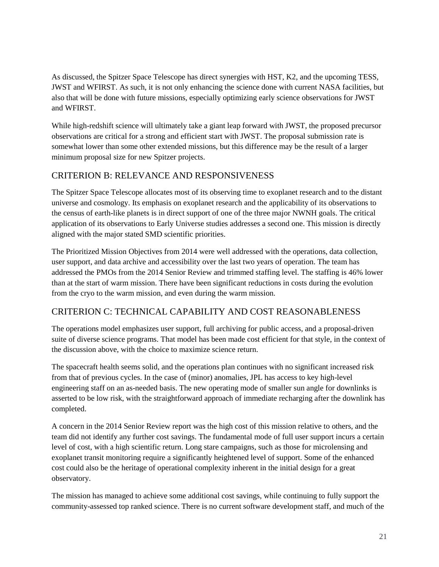As discussed, the Spitzer Space Telescope has direct synergies with HST, K2, and the upcoming TESS, JWST and WFIRST. As such, it is not only enhancing the science done with current NASA facilities, but also that will be done with future missions, especially optimizing early science observations for JWST and WFIRST.

While high-redshift science will ultimately take a giant leap forward with JWST, the proposed precursor observations are critical for a strong and efficient start with JWST. The proposal submission rate is somewhat lower than some other extended missions, but this difference may be the result of a larger minimum proposal size for new Spitzer projects.

#### CRITERION B: RELEVANCE AND RESPONSIVENESS

The Spitzer Space Telescope allocates most of its observing time to exoplanet research and to the distant universe and cosmology. Its emphasis on exoplanet research and the applicability of its observations to the census of earth-like planets is in direct support of one of the three major NWNH goals. The critical application of its observations to Early Universe studies addresses a second one. This mission is directly aligned with the major stated SMD scientific priorities.

The Prioritized Mission Objectives from 2014 were well addressed with the operations, data collection, user support, and data archive and accessibility over the last two years of operation. The team has addressed the PMOs from the 2014 Senior Review and trimmed staffing level. The staffing is 46% lower than at the start of warm mission. There have been significant reductions in costs during the evolution from the cryo to the warm mission, and even during the warm mission.

## CRITERION C: TECHNICAL CAPABILITY AND COST REASONABLENESS

The operations model emphasizes user support, full archiving for public access, and a proposal-driven suite of diverse science programs. That model has been made cost efficient for that style, in the context of the discussion above, with the choice to maximize science return.

The spacecraft health seems solid, and the operations plan continues with no significant increased risk from that of previous cycles. In the case of (minor) anomalies, JPL has access to key high-level engineering staff on an as-needed basis. The new operating mode of smaller sun angle for downlinks is asserted to be low risk, with the straightforward approach of immediate recharging after the downlink has completed.

A concern in the 2014 Senior Review report was the high cost of this mission relative to others, and the team did not identify any further cost savings. The fundamental mode of full user support incurs a certain level of cost, with a high scientific return. Long stare campaigns, such as those for microlensing and exoplanet transit monitoring require a significantly heightened level of support. Some of the enhanced cost could also be the heritage of operational complexity inherent in the initial design for a great observatory.

The mission has managed to achieve some additional cost savings, while continuing to fully support the community-assessed top ranked science. There is no current software development staff, and much of the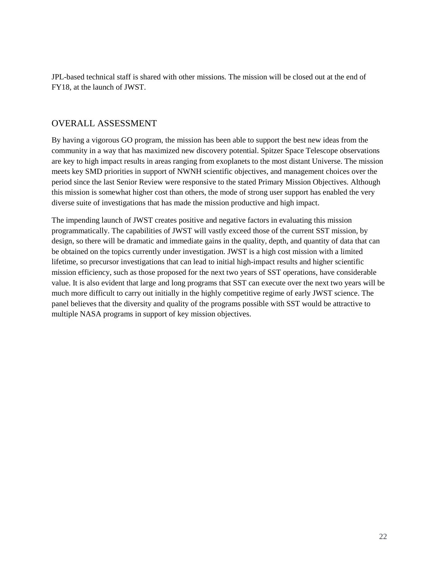JPL-based technical staff is shared with other missions. The mission will be closed out at the end of FY18, at the launch of JWST.

#### OVERALL ASSESSMENT

By having a vigorous GO program, the mission has been able to support the best new ideas from the community in a way that has maximized new discovery potential. Spitzer Space Telescope observations are key to high impact results in areas ranging from exoplanets to the most distant Universe. The mission meets key SMD priorities in support of NWNH scientific objectives, and management choices over the period since the last Senior Review were responsive to the stated Primary Mission Objectives. Although this mission is somewhat higher cost than others, the mode of strong user support has enabled the very diverse suite of investigations that has made the mission productive and high impact.

The impending launch of JWST creates positive and negative factors in evaluating this mission programmatically. The capabilities of JWST will vastly exceed those of the current SST mission, by design, so there will be dramatic and immediate gains in the quality, depth, and quantity of data that can be obtained on the topics currently under investigation. JWST is a high cost mission with a limited lifetime, so precursor investigations that can lead to initial high-impact results and higher scientific mission efficiency, such as those proposed for the next two years of SST operations, have considerable value. It is also evident that large and long programs that SST can execute over the next two years will be much more difficult to carry out initially in the highly competitive regime of early JWST science. The panel believes that the diversity and quality of the programs possible with SST would be attractive to multiple NASA programs in support of key mission objectives.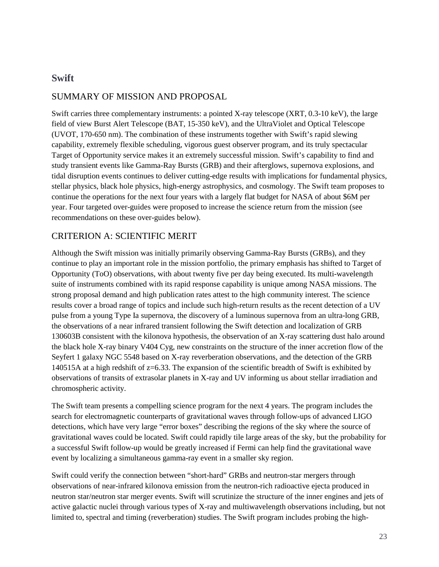#### **Swift**

#### SUMMARY OF MISSION AND PROPOSAL

Swift carries three complementary instruments: a pointed X-ray telescope (XRT, 0.3-10 keV), the large field of view Burst Alert Telescope (BAT, 15-350 keV), and the UltraViolet and Optical Telescope (UVOT, 170-650 nm). The combination of these instruments together with Swift's rapid slewing capability, extremely flexible scheduling, vigorous guest observer program, and its truly spectacular Target of Opportunity service makes it an extremely successful mission. Swift's capability to find and study transient events like Gamma-Ray Bursts (GRB) and their afterglows, supernova explosions, and tidal disruption events continues to deliver cutting-edge results with implications for fundamental physics, stellar physics, black hole physics, high-energy astrophysics, and cosmology. The Swift team proposes to continue the operations for the next four years with a largely flat budget for NASA of about \$6M per year. Four targeted over-guides were proposed to increase the science return from the mission (see recommendations on these over-guides below).

#### CRITERION A: SCIENTIFIC MERIT

Although the Swift mission was initially primarily observing Gamma-Ray Bursts (GRBs), and they continue to play an important role in the mission portfolio, the primary emphasis has shifted to Target of Opportunity (ToO) observations, with about twenty five per day being executed. Its multi-wavelength suite of instruments combined with its rapid response capability is unique among NASA missions. The strong proposal demand and high publication rates attest to the high community interest. The science results cover a broad range of topics and include such high-return results as the recent detection of a UV pulse from a young Type Ia supernova, the discovery of a luminous supernova from an ultra-long GRB, the observations of a near infrared transient following the Swift detection and localization of GRB 130603B consistent with the kilonova hypothesis, the observation of an X-ray scattering dust halo around the black hole X-ray binary V404 Cyg, new constraints on the structure of the inner accretion flow of the Seyfert 1 galaxy NGC 5548 based on X-ray reverberation observations, and the detection of the GRB 140515A at a high redshift of z=6.33. The expansion of the scientific breadth of Swift is exhibited by observations of transits of extrasolar planets in X-ray and UV informing us about stellar irradiation and chromospheric activity.

The Swift team presents a compelling science program for the next 4 years. The program includes the search for electromagnetic counterparts of gravitational waves through follow-ups of advanced LIGO detections, which have very large "error boxes" describing the regions of the sky where the source of gravitational waves could be located. Swift could rapidly tile large areas of the sky, but the probability for a successful Swift follow-up would be greatly increased if Fermi can help find the gravitational wave event by localizing a simultaneous gamma-ray event in a smaller sky region.

Swift could verify the connection between "short-hard" GRBs and neutron-star mergers through observations of near-infrared kilonova emission from the neutron-rich radioactive ejecta produced in neutron star/neutron star merger events. Swift will scrutinize the structure of the inner engines and jets of active galactic nuclei through various types of X-ray and multiwavelength observations including, but not limited to, spectral and timing (reverberation) studies. The Swift program includes probing the high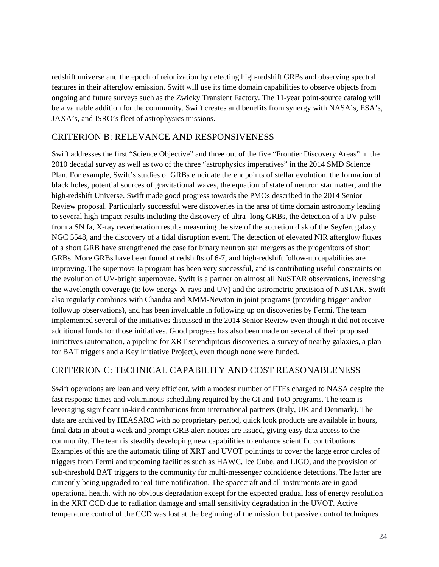redshift universe and the epoch of reionization by detecting high-redshift GRBs and observing spectral features in their afterglow emission. Swift will use its time domain capabilities to observe objects from ongoing and future surveys such as the Zwicky Transient Factory. The 11-year point-source catalog will be a valuable addition for the community. Swift creates and benefits from synergy with NASA's, ESA's, JAXA's, and ISRO's fleet of astrophysics missions.

#### CRITERION B: RELEVANCE AND RESPONSIVENESS

Swift addresses the first "Science Objective" and three out of the five "Frontier Discovery Areas" in the 2010 decadal survey as well as two of the three "astrophysics imperatives" in the 2014 SMD Science Plan. For example, Swift's studies of GRBs elucidate the endpoints of stellar evolution, the formation of black holes, potential sources of gravitational waves, the equation of state of neutron star matter, and the high-redshift Universe. Swift made good progress towards the PMOs described in the 2014 Senior Review proposal. Particularly successful were discoveries in the area of time domain astronomy leading to several high-impact results including the discovery of ultra- long GRBs, the detection of a UV pulse from a SN Ia, X-ray reverberation results measuring the size of the accretion disk of the Seyfert galaxy NGC 5548, and the discovery of a tidal disruption event. The detection of elevated NIR afterglow fluxes of a short GRB have strengthened the case for binary neutron star mergers as the progenitors of short GRBs. More GRBs have been found at redshifts of 6-7, and high-redshift follow-up capabilities are improving. The supernova Ia program has been very successful, and is contributing useful constraints on the evolution of UV-bright supernovae. Swift is a partner on almost all NuSTAR observations, increasing the wavelength coverage (to low energy X-rays and UV) and the astrometric precision of NuSTAR. Swift also regularly combines with Chandra and XMM-Newton in joint programs (providing trigger and/or followup observations), and has been invaluable in following up on discoveries by Fermi. The team implemented several of the initiatives discussed in the 2014 Senior Review even though it did not receive additional funds for those initiatives. Good progress has also been made on several of their proposed initiatives (automation, a pipeline for XRT serendipitous discoveries, a survey of nearby galaxies, a plan for BAT triggers and a Key Initiative Project), even though none were funded.

#### CRITERION C: TECHNICAL CAPABILITY AND COST REASONABLENESS

Swift operations are lean and very efficient, with a modest number of FTEs charged to NASA despite the fast response times and voluminous scheduling required by the GI and ToO programs. The team is leveraging significant in-kind contributions from international partners (Italy, UK and Denmark). The data are archived by HEASARC with no proprietary period, quick look products are available in hours, final data in about a week and prompt GRB alert notices are issued, giving easy data access to the community. The team is steadily developing new capabilities to enhance scientific contributions. Examples of this are the automatic tiling of XRT and UVOT pointings to cover the large error circles of triggers from Fermi and upcoming facilities such as HAWC, Ice Cube, and LIGO, and the provision of sub-threshold BAT triggers to the community for multi-messenger coincidence detections. The latter are currently being upgraded to real-time notification. The spacecraft and all instruments are in good operational health, with no obvious degradation except for the expected gradual loss of energy resolution in the XRT CCD due to radiation damage and small sensitivity degradation in the UVOT. Active temperature control of the CCD was lost at the beginning of the mission, but passive control techniques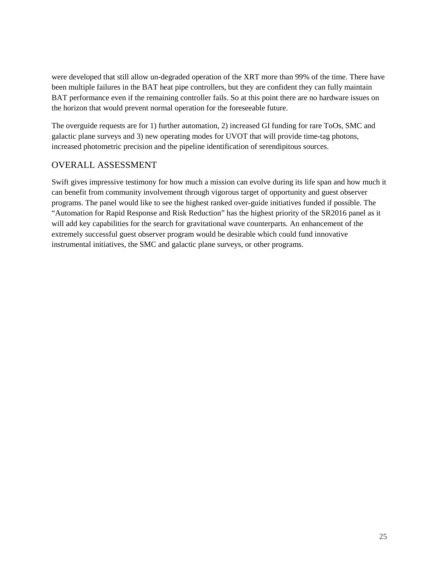were developed that still allow un-degraded operation of the XRT more than 99% of the time. There have been multiple failures in the BAT heat pipe controllers, but they are confident they can fully maintain BAT performance even if the remaining controller fails. So at this point there are no hardware issues on the horizon that would prevent normal operation for the foreseeable future.

The overguide requests are for 1) further automation, 2) increased GI funding for rare ToOs, SMC and galactic plane surveys and 3) new operating modes for UVOT that will provide time-tag photons, increased photometric precision and the pipeline identification of serendipitous sources.

#### OVERALL ASSESSMENT

Swift gives impressive testimony for how much a mission can evolve during its life span and how much it can benefit from community involvement through vigorous target of opportunity and guest observer programs. The panel would like to see the highest ranked over-guide initiatives funded if possible. The "Automation for Rapid Response and Risk Reduction" has the highest priority of the SR2016 panel as it will add key capabilities for the search for gravitational wave counterparts. An enhancement of the extremely successful guest observer program would be desirable which could fund innovative instrumental initiatives, the SMC and galactic plane surveys, or other programs.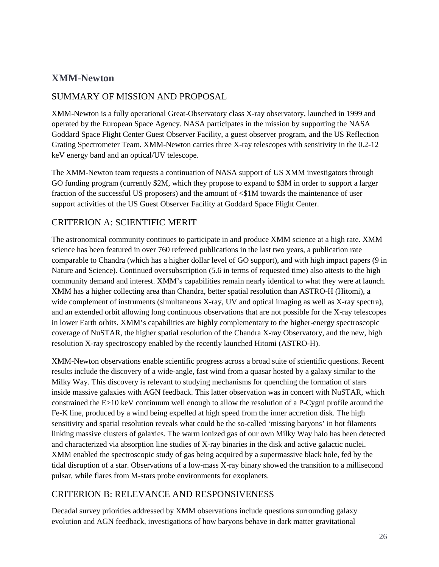# **XMM-Newton**

#### SUMMARY OF MISSION AND PROPOSAL

XMM-Newton is a fully operational Great-Observatory class X-ray observatory, launched in 1999 and operated by the European Space Agency. NASA participates in the mission by supporting the NASA Goddard Space Flight Center Guest Observer Facility, a guest observer program, and the US Reflection Grating Spectrometer Team. XMM-Newton carries three X-ray telescopes with sensitivity in the 0.2-12 keV energy band and an optical/UV telescope.

The XMM-Newton team requests a continuation of NASA support of US XMM investigators through GO funding program (currently \$2M, which they propose to expand to \$3M in order to support a larger fraction of the successful US proposers) and the amount of <\$1M towards the maintenance of user support activities of the US Guest Observer Facility at Goddard Space Flight Center.

#### CRITERION A: SCIENTIFIC MERIT

The astronomical community continues to participate in and produce XMM science at a high rate. XMM science has been featured in over 760 refereed publications in the last two years, a publication rate comparable to Chandra (which has a higher dollar level of GO support), and with high impact papers (9 in Nature and Science). Continued oversubscription (5.6 in terms of requested time) also attests to the high community demand and interest. XMM's capabilities remain nearly identical to what they were at launch. XMM has a higher collecting area than Chandra, better spatial resolution than ASTRO-H (Hitomi), a wide complement of instruments (simultaneous X-ray, UV and optical imaging as well as X-ray spectra), and an extended orbit allowing long continuous observations that are not possible for the X-ray telescopes in lower Earth orbits. XMM's capabilities are highly complementary to the higher-energy spectroscopic coverage of NuSTAR, the higher spatial resolution of the Chandra X-ray Observatory, and the new, high resolution X-ray spectroscopy enabled by the recently launched Hitomi (ASTRO-H).

XMM-Newton observations enable scientific progress across a broad suite of scientific questions. Recent results include the discovery of a wide-angle, fast wind from a quasar hosted by a galaxy similar to the Milky Way. This discovery is relevant to studying mechanisms for quenching the formation of stars inside massive galaxies with AGN feedback. This latter observation was in concert with NuSTAR, which constrained the E>10 keV continuum well enough to allow the resolution of a P-Cygni profile around the Fe-K line, produced by a wind being expelled at high speed from the inner accretion disk. The high sensitivity and spatial resolution reveals what could be the so-called 'missing baryons' in hot filaments linking massive clusters of galaxies. The warm ionized gas of our own Milky Way halo has been detected and characterized via absorption line studies of X-ray binaries in the disk and active galactic nuclei. XMM enabled the spectroscopic study of gas being acquired by a supermassive black hole, fed by the tidal disruption of a star. Observations of a low-mass X-ray binary showed the transition to a millisecond pulsar, while flares from M-stars probe environments for exoplanets.

#### CRITERION B: RELEVANCE AND RESPONSIVENESS

Decadal survey priorities addressed by XMM observations include questions surrounding galaxy evolution and AGN feedback, investigations of how baryons behave in dark matter gravitational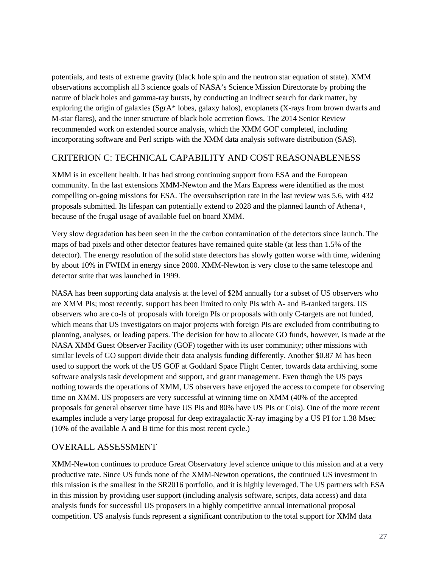potentials, and tests of extreme gravity (black hole spin and the neutron star equation of state). XMM observations accomplish all 3 science goals of NASA's Science Mission Directorate by probing the nature of black holes and gamma-ray bursts, by conducting an indirect search for dark matter, by exploring the origin of galaxies (SgrA\* lobes, galaxy halos), exoplanets (X-rays from brown dwarfs and M-star flares), and the inner structure of black hole accretion flows. The 2014 Senior Review recommended work on extended source analysis, which the XMM GOF completed, including incorporating software and Perl scripts with the XMM data analysis software distribution (SAS).

#### CRITERION C: TECHNICAL CAPABILITY AND COST REASONABLENESS

XMM is in excellent health. It has had strong continuing support from ESA and the European community. In the last extensions XMM-Newton and the Mars Express were identified as the most compelling on-going missions for ESA. The oversubscription rate in the last review was 5.6, with 432 proposals submitted. Its lifespan can potentially extend to 2028 and the planned launch of Athena+, because of the frugal usage of available fuel on board XMM.

Very slow degradation has been seen in the the carbon contamination of the detectors since launch. The maps of bad pixels and other detector features have remained quite stable (at less than 1.5% of the detector). The energy resolution of the solid state detectors has slowly gotten worse with time, widening by about 10% in FWHM in energy since 2000. XMM-Newton is very close to the same telescope and detector suite that was launched in 1999.

NASA has been supporting data analysis at the level of \$2M annually for a subset of US observers who are XMM PIs; most recently, support has been limited to only PIs with A- and B-ranked targets. US observers who are co-Is of proposals with foreign PIs or proposals with only C-targets are not funded, which means that US investigators on major projects with foreign PIs are excluded from contributing to planning, analyses, or leading papers. The decision for how to allocate GO funds, however, is made at the NASA XMM Guest Observer Facility (GOF) together with its user community; other missions with similar levels of GO support divide their data analysis funding differently. Another \$0.87 M has been used to support the work of the US GOF at Goddard Space Flight Center, towards data archiving, some software analysis task development and support, and grant management. Even though the US pays nothing towards the operations of XMM, US observers have enjoyed the access to compete for observing time on XMM. US proposers are very successful at winning time on XMM (40% of the accepted proposals for general observer time have US PIs and 80% have US PIs or CoIs). One of the more recent examples include a very large proposal for deep extragalactic X-ray imaging by a US PI for 1.38 Msec (10% of the available A and B time for this most recent cycle.)

#### OVERALL ASSESSMENT

XMM-Newton continues to produce Great Observatory level science unique to this mission and at a very productive rate. Since US funds none of the XMM-Newton operations, the continued US investment in this mission is the smallest in the SR2016 portfolio, and it is highly leveraged. The US partners with ESA in this mission by providing user support (including analysis software, scripts, data access) and data analysis funds for successful US proposers in a highly competitive annual international proposal competition. US analysis funds represent a significant contribution to the total support for XMM data